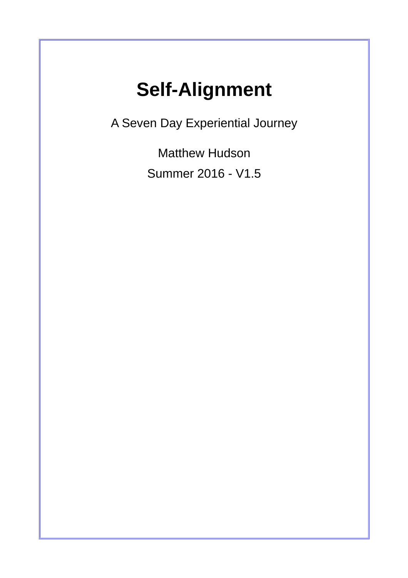# **Self-Alignment**

A Seven Day Experiential Journey

Matthew Hudson Summer 2016 - V1.5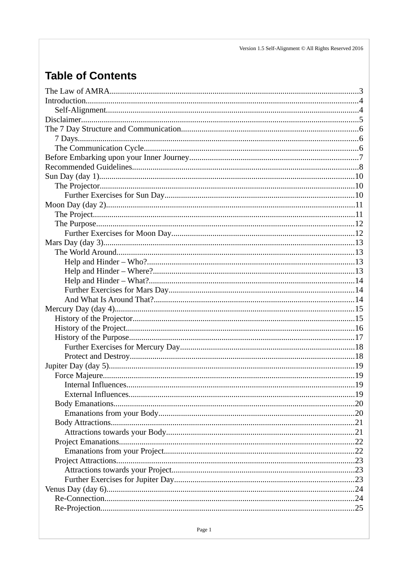Version 1.5 Self-Alignment  $\copyright$  All Rights Reserved 2016

# **Table of Contents**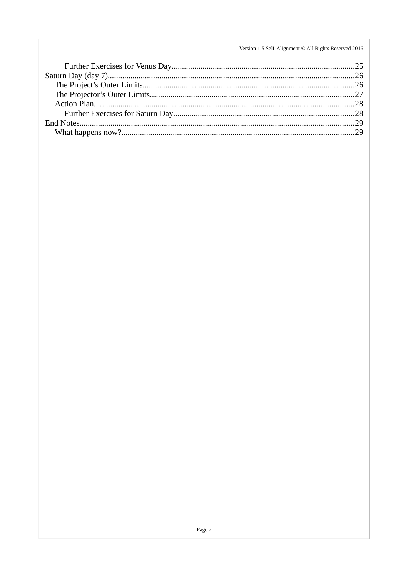Version 1.5 Self-Alignment  $\copyright$  All Rights Reserved 2016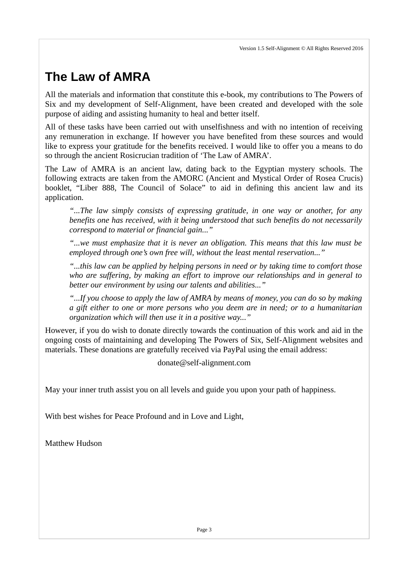# <span id="page-3-0"></span>**The Law of AMRA**

All the materials and information that constitute this e-book, my contributions to The Powers of Six and my development of Self-Alignment, have been created and developed with the sole purpose of aiding and assisting humanity to heal and better itself.

All of these tasks have been carried out with unselfishness and with no intention of receiving any remuneration in exchange. If however you have benefited from these sources and would like to express your gratitude for the benefits received. I would like to offer you a means to do so through the ancient Rosicrucian tradition of 'The Law of AMRA'.

The Law of AMRA is an ancient law, dating back to the Egyptian mystery schools. The following extracts are taken from the AMORC (Ancient and Mystical Order of Rosea Crucis) booklet, "Liber 888, The Council of Solace" to aid in defining this ancient law and its application.

*"...The law simply consists of expressing gratitude, in one way or another, for any benefits one has received, with it being understood that such benefits do not necessarily correspond to material or financial gain..."*

*"...we must emphasize that it is never an obligation. This means that this law must be employed through one's own free will, without the least mental reservation..."*

*"...this law can be applied by helping persons in need or by taking time to comfort those who are suffering, by making an effort to improve our relationships and in general to better our environment by using our talents and abilities..."*

*"...If you choose to apply the law of AMRA by means of money, you can do so by making a gift either to one or more persons who you deem are in need; or to a humanitarian organization which will then use it in a positive way..."*

However, if you do wish to donate directly towards the continuation of this work and aid in the ongoing costs of maintaining and developing The Powers of Six, Self-Alignment websites and materials. These donations are gratefully received via PayPal using the email address:

donate@self-alignment.com

May your inner truth assist you on all levels and guide you upon your path of happiness.

With best wishes for Peace Profound and in Love and Light,

Matthew Hudson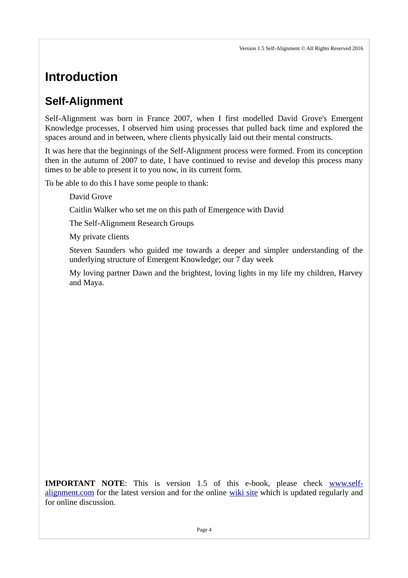# <span id="page-4-1"></span>**Introduction**

### <span id="page-4-0"></span>**Self-Alignment**

Self-Alignment was born in France 2007, when I first modelled David Grove's Emergent Knowledge processes, I observed him using processes that pulled back time and explored the spaces around and in between, where clients physically laid out their mental constructs.

It was here that the beginnings of the Self-Alignment process were formed. From its conception then in the autumn of 2007 to date, I have continued to revise and develop this process many times to be able to present it to you now, in its current form.

To be able to do this I have some people to thank:

David Grove

Caitlin Walker who set me on this path of Emergence with David

The Self-Alignment Research Groups

My private clients

Steven Saunders who guided me towards a deeper and simpler understanding of the underlying structure of Emergent Knowledge; our 7 day week

My loving partner Dawn and the brightest, loving lights in my life my children, Harvey and Maya.

**IMPORTANT NOTE**: This is version 1.5 of this e-book, please check [www.self](http://www.self-alignment.com/)[alignment.com](http://www.self-alignment.com/) for the latest version and for the online [wiki site](http://www.self-alignment.com/docuwiki/doku.php) which is updated regularly and for online discussion.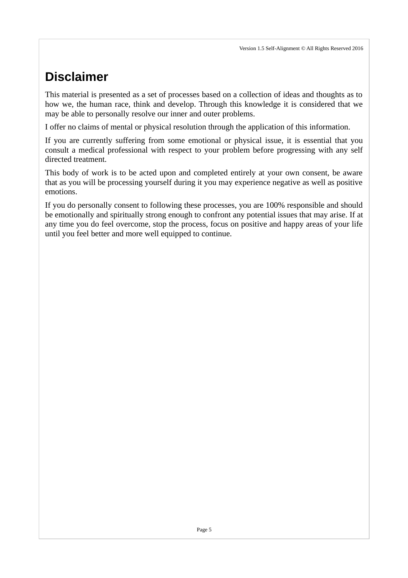# <span id="page-5-0"></span>**Disclaimer**

This material is presented as a set of processes based on a collection of ideas and thoughts as to how we, the human race, think and develop. Through this knowledge it is considered that we may be able to personally resolve our inner and outer problems.

I offer no claims of mental or physical resolution through the application of this information.

If you are currently suffering from some emotional or physical issue, it is essential that you consult a medical professional with respect to your problem before progressing with any self directed treatment.

This body of work is to be acted upon and completed entirely at your own consent, be aware that as you will be processing yourself during it you may experience negative as well as positive emotions.

If you do personally consent to following these processes, you are 100% responsible and should be emotionally and spiritually strong enough to confront any potential issues that may arise. If at any time you do feel overcome, stop the process, focus on positive and happy areas of your life until you feel better and more well equipped to continue.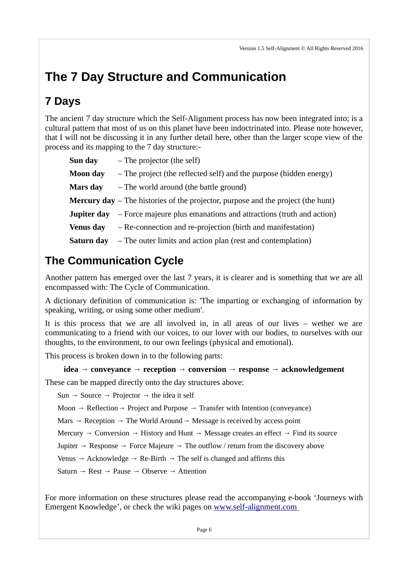# <span id="page-6-2"></span>**The 7 Day Structure and Communication**

### <span id="page-6-1"></span>**7 Days**

The ancient 7 day structure which the Self-Alignment process has now been integrated into; is a cultural pattern that most of us on this planet have been indoctrinated into. Please note however, that I will not be discussing it in any further detail here, other than the larger scope view of the process and its mapping to the 7 day structure:-

| Sun day          | $-$ The projector (the self)                                                              |
|------------------|-------------------------------------------------------------------------------------------|
| <b>Moon</b> day  | $-$ The project (the reflected self) and the purpose (hidden energy)                      |
| Mars day         | - The world around (the battle ground)                                                    |
|                  | <b>Mercury day</b> $-$ The histories of the projector, purpose and the project (the hunt) |
| Jupiter day      | - Force majeure plus emanations and attractions (truth and action)                        |
| <b>Venus day</b> | - Re-connection and re-projection (birth and manifestation)                               |
| Saturn day       | - The outer limits and action plan (rest and contemplation)                               |

## <span id="page-6-0"></span>**The Communication Cycle**

Another pattern has emerged over the last 7 years, it is clearer and is something that we are all encompassed with: The Cycle of Communication.

A dictionary definition of communication is: 'The imparting or exchanging of information by speaking, writing, or using some other medium'.

It is this process that we are all involved in, in all areas of our lives – wether we are communicating to a friend with our voices, to our lover with our bodies, to ourselves with our thoughts, to the environment, to our own feelings (physical and emotional).

This process is broken down in to the following parts:

#### **idea → conveyance → reception → conversion → response → acknowledgement**

These can be mapped directly onto the day structures above:

Sun  $\rightarrow$  Source  $\rightarrow$  Projector  $\rightarrow$  the idea it self

Moon  $\rightarrow$  Reflection  $\rightarrow$  Project and Purpose  $\rightarrow$  Transfer with Intention (conveyance)

Mars  $\rightarrow$  Reception  $\rightarrow$  The World Around  $\rightarrow$  Message is received by access point

Mercury  $\rightarrow$  Conversion  $\rightarrow$  History and Hunt  $\rightarrow$  Message creates an effect  $\rightarrow$  Find its source

Jupiter  $\rightarrow$  Response  $\rightarrow$  Force Majeure  $\rightarrow$  The outflow / return from the discovery above

Venus  $→$  Acknowledge  $→$  Re-Birth  $→$  The self is changed and affirms this

Saturn  $\rightarrow$  Rest  $\rightarrow$  Pause  $\rightarrow$  Observe  $\rightarrow$  Attention

For more information on these structures please read the accompanying e-book 'Journeys with Emergent Knowledge', or check the wiki pages on [www.self-alignment.com](http://www.self-alignment.com/docuwiki/doku.php)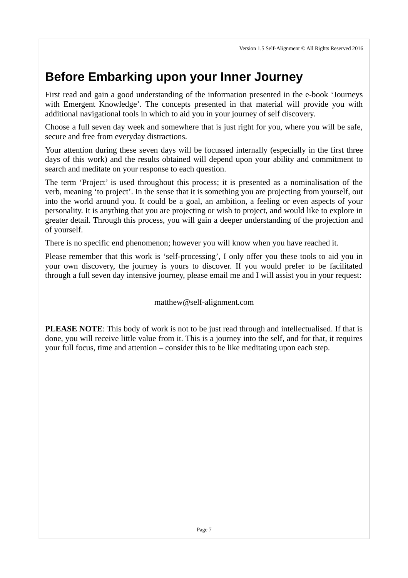# <span id="page-7-0"></span>**Before Embarking upon your Inner Journey**

First read and gain a good understanding of the information presented in the e-book 'Journeys with Emergent Knowledge'. The concepts presented in that material will provide you with additional navigational tools in which to aid you in your journey of self discovery.

Choose a full seven day week and somewhere that is just right for you, where you will be safe, secure and free from everyday distractions.

Your attention during these seven days will be focussed internally (especially in the first three days of this work) and the results obtained will depend upon your ability and commitment to search and meditate on your response to each question.

The term 'Project' is used throughout this process; it is presented as a nominalisation of the verb, meaning 'to project'. In the sense that it is something you are projecting from yourself, out into the world around you. It could be a goal, an ambition, a feeling or even aspects of your personality. It is anything that you are projecting or wish to project, and would like to explore in greater detail. Through this process, you will gain a deeper understanding of the projection and of yourself.

There is no specific end phenomenon; however you will know when you have reached it.

Please remember that this work is 'self-processing', I only offer you these tools to aid you in your own discovery, the journey is yours to discover. If you would prefer to be facilitated through a full seven day intensive journey, please email me and I will assist you in your request:

matthew@self-alignment.com

**PLEASE NOTE**: This body of work is not to be just read through and intellectualised. If that is done, you will receive little value from it. This is a journey into the self, and for that, it requires your full focus, time and attention – consider this to be like meditating upon each step.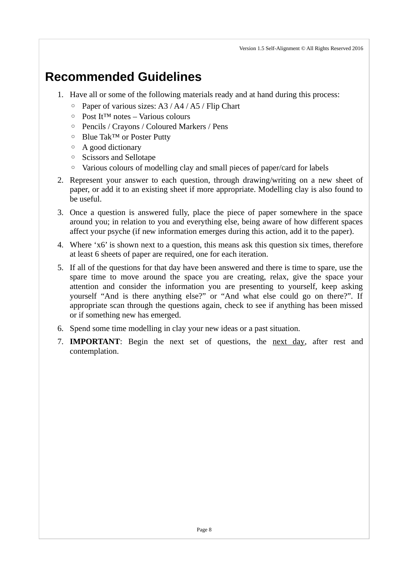# <span id="page-8-0"></span>**Recommended Guidelines**

- 1. Have all or some of the following materials ready and at hand during this process:
	- Paper of various sizes: A3 / A4 / A5 / Flip Chart
	- Post It™ notes Various colours
	- Pencils / Crayons / Coloured Markers / Pens
	- Blue Tak™ or Poster Putty
	- A good dictionary
	- Scissors and Sellotape
	- Various colours of modelling clay and small pieces of paper/card for labels
- 2. Represent your answer to each question, through drawing/writing on a new sheet of paper, or add it to an existing sheet if more appropriate. Modelling clay is also found to be useful.
- 3. Once a question is answered fully, place the piece of paper somewhere in the space around you; in relation to you and everything else, being aware of how different spaces affect your psyche (if new information emerges during this action, add it to the paper).
- 4. Where 'x6' is shown next to a question, this means ask this question six times, therefore at least 6 sheets of paper are required, one for each iteration.
- 5. If all of the questions for that day have been answered and there is time to spare, use the spare time to move around the space you are creating, relax, give the space your attention and consider the information you are presenting to yourself, keep asking yourself "And is there anything else?" or "And what else could go on there?". If appropriate scan through the questions again, check to see if anything has been missed or if something new has emerged.
- 6. Spend some time modelling in clay your new ideas or a past situation.
- 7. **IMPORTANT**: Begin the next set of questions, the next day, after rest and contemplation.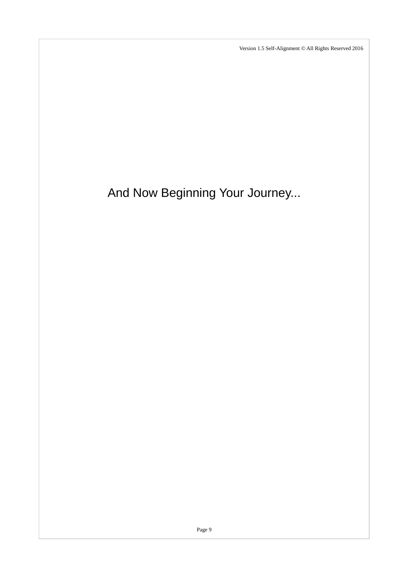And Now Beginning Your Journey...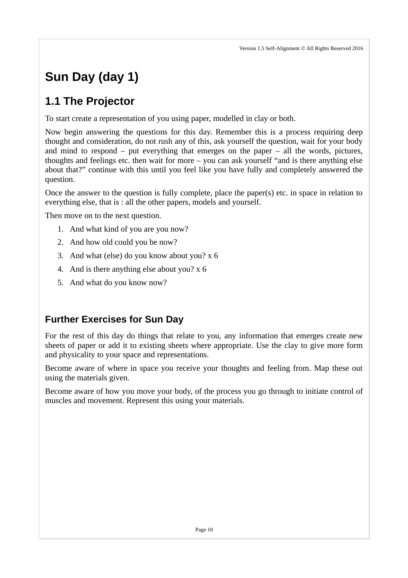# <span id="page-10-2"></span>**Sun Day (day 1)**

## <span id="page-10-1"></span>**1.1 The Projector**

To start create a representation of you using paper, modelled in clay or both.

Now begin answering the questions for this day. Remember this is a process requiring deep thought and consideration, do not rush any of this, ask yourself the question, wait for your body and mind to respond – put everything that emerges on the paper – all the words, pictures, thoughts and feelings etc. then wait for more – you can ask yourself "and is there anything else about that?" continue with this until you feel like you have fully and completely answered the question.

Once the answer to the question is fully complete, place the paper(s) etc. in space in relation to everything else, that is : all the other papers, models and yourself.

Then move on to the next question.

- 1. And what kind of you are you now?
- 2. And how old could you be now?
- 3. And what (else) do you know about you? x 6
- 4. And is there anything else about you? x 6
- 5. And what do you know now?

### <span id="page-10-0"></span>**Further Exercises for Sun Day**

For the rest of this day do things that relate to you, any information that emerges create new sheets of paper or add it to existing sheets where appropriate. Use the clay to give more form and physicality to your space and representations.

Become aware of where in space you receive your thoughts and feeling from. Map these out using the materials given.

Become aware of how you move your body, of the process you go through to initiate control of muscles and movement. Represent this using your materials.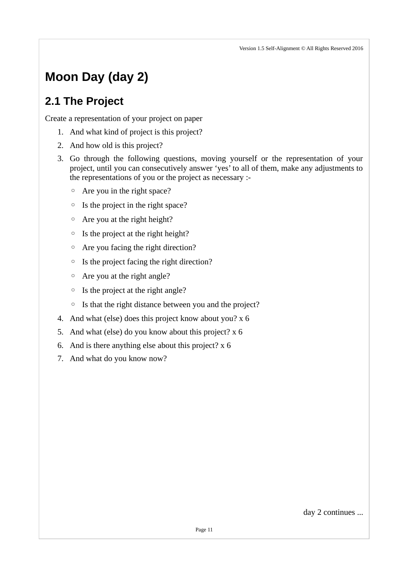# <span id="page-11-1"></span>**Moon Day (day 2)**

## <span id="page-11-0"></span>**2.1 The Project**

Create a representation of your project on paper

- 1. And what kind of project is this project?
- 2. And how old is this project?
- 3. Go through the following questions, moving yourself or the representation of your project, until you can consecutively answer 'yes' to all of them, make any adjustments to the representations of you or the project as necessary :-
	- Are you in the right space?
	- Is the project in the right space?
	- Are you at the right height?
	- Is the project at the right height?
	- Are you facing the right direction?
	- Is the project facing the right direction?
	- Are you at the right angle?
	- Is the project at the right angle?
	- Is that the right distance between you and the project?
- 4. And what (else) does this project know about you? x 6
- 5. And what (else) do you know about this project? x 6
- 6. And is there anything else about this project? x 6
- 7. And what do you know now?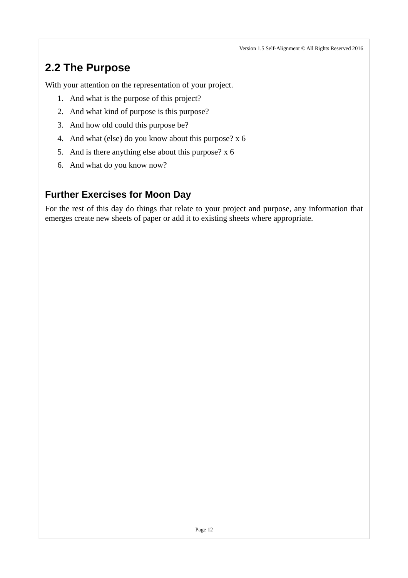## <span id="page-12-1"></span>**2.2 The Purpose**

With your attention on the representation of your project.

- 1. And what is the purpose of this project?
- 2. And what kind of purpose is this purpose?
- 3. And how old could this purpose be?
- 4. And what (else) do you know about this purpose? x 6
- 5. And is there anything else about this purpose? x 6
- 6. And what do you know now?

### <span id="page-12-0"></span>**Further Exercises for Moon Day**

For the rest of this day do things that relate to your project and purpose, any information that emerges create new sheets of paper or add it to existing sheets where appropriate.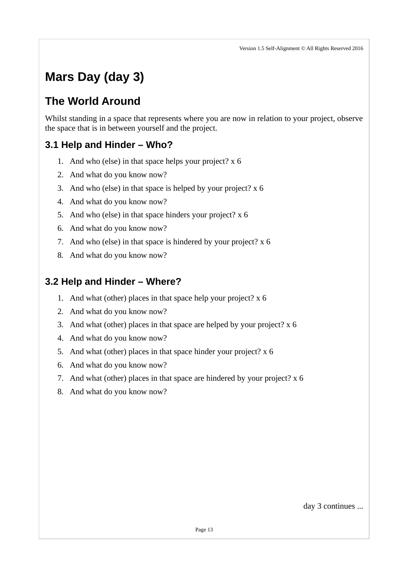# <span id="page-13-3"></span>**Mars Day (day 3)**

## <span id="page-13-2"></span>**The World Around**

Whilst standing in a space that represents where you are now in relation to your project, observe the space that is in between yourself and the project.

### <span id="page-13-1"></span>**3.1 Help and Hinder – Who?**

- 1. And who (else) in that space helps your project? x 6
- 2. And what do you know now?
- 3. And who (else) in that space is helped by your project? x 6
- 4. And what do you know now?
- 5. And who (else) in that space hinders your project? x 6
- 6. And what do you know now?
- 7. And who (else) in that space is hindered by your project?  $x$  6
- 8. And what do you know now?

### <span id="page-13-0"></span>**3.2 Help and Hinder – Where?**

- 1. And what (other) places in that space help your project? x 6
- 2. And what do you know now?
- 3. And what (other) places in that space are helped by your project? x 6
- 4. And what do you know now?
- 5. And what (other) places in that space hinder your project? x 6
- 6. And what do you know now?
- 7. And what (other) places in that space are hindered by your project? x 6
- 8. And what do you know now?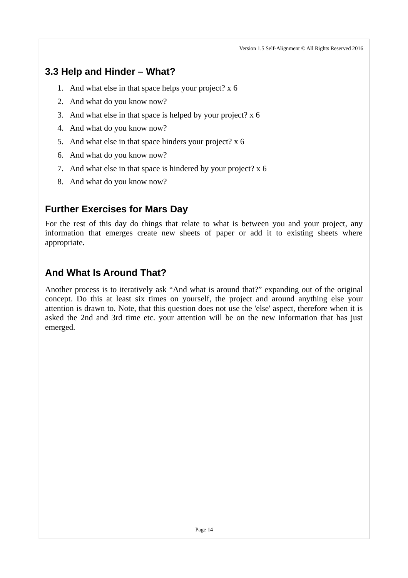### <span id="page-14-2"></span>**3.3 Help and Hinder – What?**

- 1. And what else in that space helps your project? x 6
- 2. And what do you know now?
- 3. And what else in that space is helped by your project? x 6
- 4. And what do you know now?
- 5. And what else in that space hinders your project? x 6
- 6. And what do you know now?
- 7. And what else in that space is hindered by your project? x 6
- 8. And what do you know now?

#### <span id="page-14-1"></span>**Further Exercises for Mars Day**

For the rest of this day do things that relate to what is between you and your project, any information that emerges create new sheets of paper or add it to existing sheets where appropriate.

### <span id="page-14-0"></span>**And What Is Around That?**

Another process is to iteratively ask "And what is around that?" expanding out of the original concept. Do this at least six times on yourself, the project and around anything else your attention is drawn to. Note, that this question does not use the 'else' aspect, therefore when it is asked the 2nd and 3rd time etc. your attention will be on the new information that has just emerged.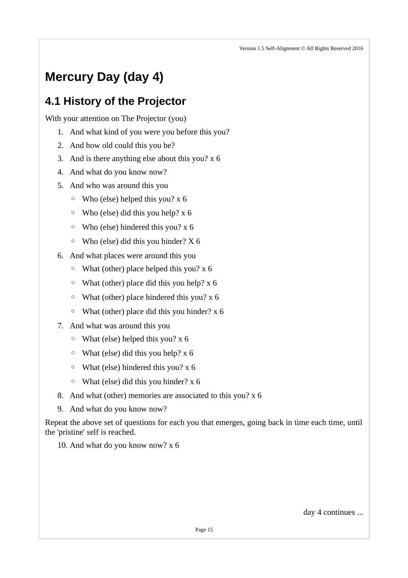# <span id="page-15-1"></span>**Mercury Day (day 4)**

### <span id="page-15-0"></span>**4.1 History of the Projector**

With your attention on The Projector (you)

- 1. And what kind of you were you before this you?
- 2. And how old could this you be?
- 3. And is there anything else about this you? x 6
- 4. And what do you know now?
- 5. And who was around this you
	- Who (else) helped this you? x 6
	- Who (else) did this you help? x 6
	- Who (else) hindered this you? x 6
	- Who (else) did this you hinder? X 6
- 6. And what places were around this you
	- What (other) place helped this you? x 6
	- What (other) place did this you help? x 6
	- What (other) place hindered this you? x 6
	- What (other) place did this you hinder? x 6
- 7. And what was around this you
	- What (else) helped this you? x 6
	- $\circ$  What (else) did this you help? x 6
	- What (else) hindered this you? x 6
	- What (else) did this you hinder? x 6
- 8. And what (other) memories are associated to this you? x 6
- 9. And what do you know now?

Repeat the above set of questions for each you that emerges, going back in time each time, until the 'pristine' self is reached.

10. And what do you know now? x 6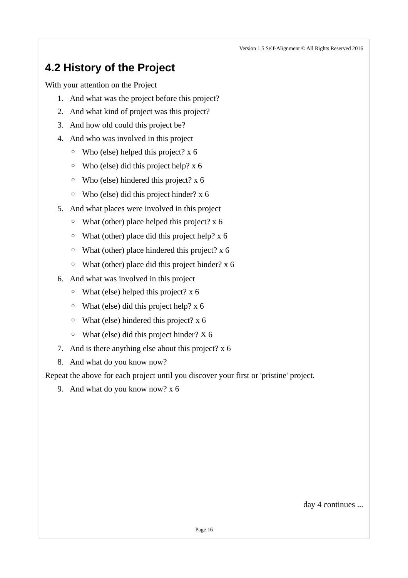## <span id="page-16-0"></span>**4.2 History of the Project**

With your attention on the Project

- 1. And what was the project before this project?
- 2. And what kind of project was this project?
- 3. And how old could this project be?
- 4. And who was involved in this project
	- Who (else) helped this project? x 6
	- Who (else) did this project help? x 6
	- Who (else) hindered this project? x 6
	- Who (else) did this project hinder? x 6
- 5. And what places were involved in this project
	- What (other) place helped this project? x 6
	- What (other) place did this project help? x 6
	- What (other) place hindered this project? x 6
	- What (other) place did this project hinder? x 6
- 6. And what was involved in this project
	- What (else) helped this project? x 6
	- $\circ$  What (else) did this project help? x 6
	- What (else) hindered this project? x 6
	- What (else) did this project hinder? X 6
- 7. And is there anything else about this project? x 6
- 8. And what do you know now?

Repeat the above for each project until you discover your first or 'pristine' project.

9. And what do you know now? x 6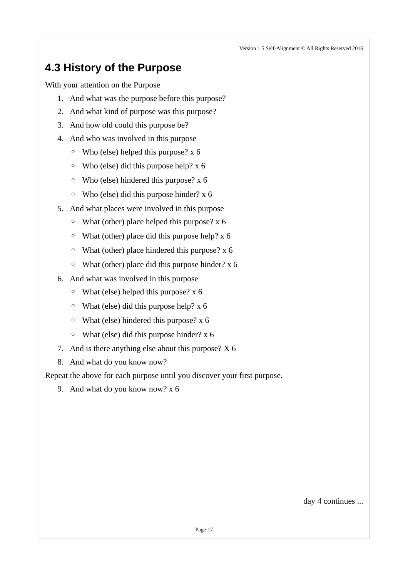## <span id="page-17-0"></span>**4.3 History of the Purpose**

With your attention on the Purpose

- 1. And what was the purpose before this purpose?
- 2. And what kind of purpose was this purpose?
- 3. And how old could this purpose be?
- 4. And who was involved in this purpose
	- Who (else) helped this purpose? x 6
	- Who (else) did this purpose help? x 6
	- Who (else) hindered this purpose? x 6
	- Who (else) did this purpose hinder? x 6
- 5. And what places were involved in this purpose
	- What (other) place helped this purpose? x 6
	- What (other) place did this purpose help? x 6
	- What (other) place hindered this purpose? x 6
	- What (other) place did this purpose hinder? x 6
- 6. And what was involved in this purpose
	- What (else) helped this purpose? x 6
	- $\circ$  What (else) did this purpose help? x 6
	- What (else) hindered this purpose? x 6
	- What (else) did this purpose hinder? x 6
- 7. And is there anything else about this purpose? X 6
- 8. And what do you know now?

Repeat the above for each purpose until you discover your first purpose.

9. And what do you know now? x 6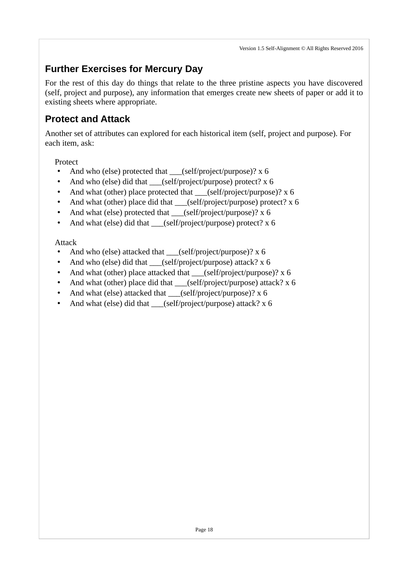### <span id="page-18-1"></span>**Further Exercises for Mercury Day**

For the rest of this day do things that relate to the three pristine aspects you have discovered (self, project and purpose), any information that emerges create new sheets of paper or add it to existing sheets where appropriate.

#### <span id="page-18-0"></span>**Protect and Attack**

Another set of attributes can explored for each historical item (self, project and purpose). For each item, ask:

Protect

- And who (else) protected that \_\_\_(self/project/purpose)? x 6
- And who (else) did that \_\_\_(self/project/purpose) protect? x 6
- And what (other) place protected that  $\qquad$  (self/project/purpose)? x 6
- And what (other) place did that \_\_\_(self/project/purpose) protect? x 6
- And what (else) protected that \_\_\_(self/project/purpose)? x 6
- And what (else) did that (self/project/purpose) protect? x 6

Attack

- And who (else) attacked that  $(self/project/purpose)?$  x 6
- And who (else) did that \_\_\_(self/project/purpose) attack? x 6
- And what (other) place attacked that \_\_\_(self/project/purpose)? x 6
- And what (other) place did that  $\qquad$  (self/project/purpose) attack? x 6
- And what (else) attacked that \_\_\_(self/project/purpose)? x 6
- And what (else) did that (self/project/purpose) attack?  $x$  6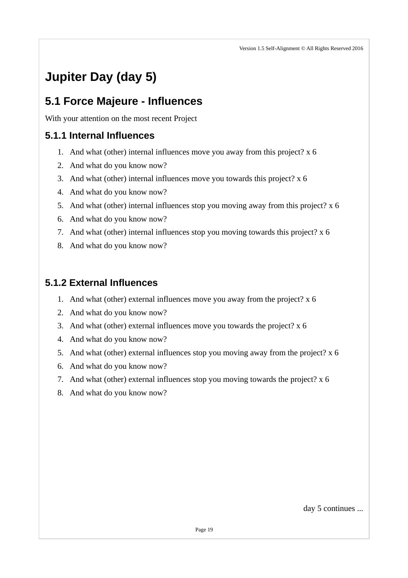# <span id="page-19-3"></span>**Jupiter Day (day 5)**

### <span id="page-19-2"></span>**5.1 Force Majeure - Influences**

With your attention on the most recent Project

### <span id="page-19-1"></span>**5.1.1 Internal Influences**

- 1. And what (other) internal influences move you away from this project? x 6
- 2. And what do you know now?
- 3. And what (other) internal influences move you towards this project? x 6
- 4. And what do you know now?
- 5. And what (other) internal influences stop you moving away from this project? x 6
- 6. And what do you know now?
- 7. And what (other) internal influences stop you moving towards this project? x 6
- 8. And what do you know now?

### <span id="page-19-0"></span>**5.1.2 External Influences**

- 1. And what (other) external influences move you away from the project? x 6
- 2. And what do you know now?
- 3. And what (other) external influences move you towards the project? x 6
- 4. And what do you know now?
- 5. And what (other) external influences stop you moving away from the project? x 6
- 6. And what do you know now?
- 7. And what (other) external influences stop you moving towards the project? x 6
- 8. And what do you know now?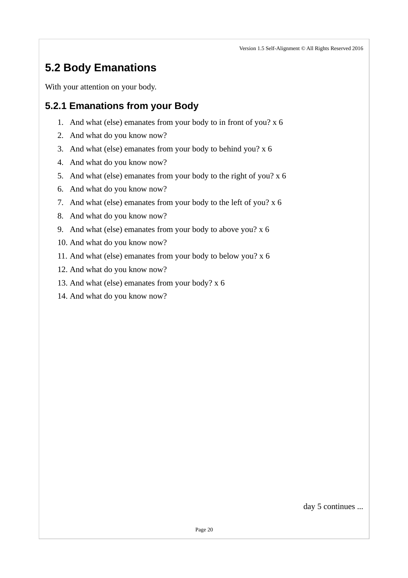## <span id="page-20-1"></span>**5.2 Body Emanations**

With your attention on your body.

#### <span id="page-20-0"></span>**5.2.1 Emanations from your Body**

- 1. And what (else) emanates from your body to in front of you? x 6
- 2. And what do you know now?
- 3. And what (else) emanates from your body to behind you? x 6
- 4. And what do you know now?
- 5. And what (else) emanates from your body to the right of you? x 6
- 6. And what do you know now?
- 7. And what (else) emanates from your body to the left of you? x 6
- 8. And what do you know now?
- 9. And what (else) emanates from your body to above you? x 6
- 10. And what do you know now?
- 11. And what (else) emanates from your body to below you? x 6
- 12. And what do you know now?
- 13. And what (else) emanates from your body? x 6
- 14. And what do you know now?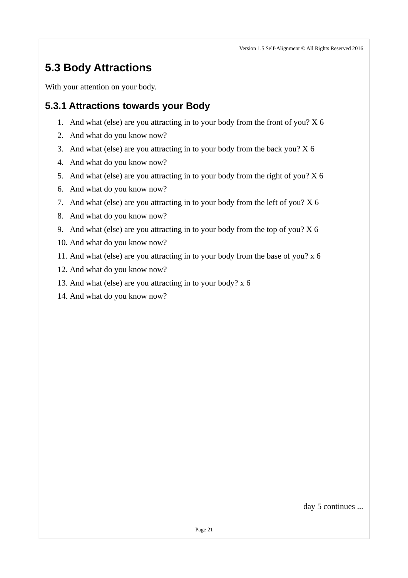## <span id="page-21-1"></span>**5.3 Body Attractions**

With your attention on your body.

#### <span id="page-21-0"></span>**5.3.1 Attractions towards your Body**

- 1. And what (else) are you attracting in to your body from the front of you? X 6
- 2. And what do you know now?
- 3. And what (else) are you attracting in to your body from the back you? X 6
- 4. And what do you know now?
- 5. And what (else) are you attracting in to your body from the right of you? X 6
- 6. And what do you know now?
- 7. And what (else) are you attracting in to your body from the left of you? X 6
- 8. And what do you know now?
- 9. And what (else) are you attracting in to your body from the top of you? X 6
- 10. And what do you know now?
- 11. And what (else) are you attracting in to your body from the base of you? x 6
- 12. And what do you know now?
- 13. And what (else) are you attracting in to your body? x 6
- 14. And what do you know now?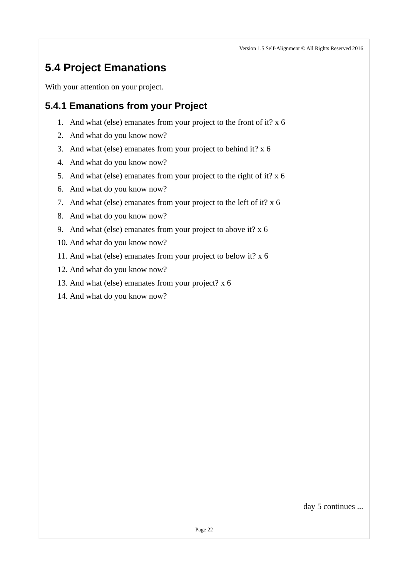# <span id="page-22-1"></span>**5.4 Project Emanations**

With your attention on your project.

### <span id="page-22-0"></span>**5.4.1 Emanations from your Project**

- 1. And what (else) emanates from your project to the front of it? x 6
- 2. And what do you know now?
- 3. And what (else) emanates from your project to behind it? x 6
- 4. And what do you know now?
- 5. And what (else) emanates from your project to the right of it? x 6
- 6. And what do you know now?
- 7. And what (else) emanates from your project to the left of it? x 6
- 8. And what do you know now?
- 9. And what (else) emanates from your project to above it? x 6
- 10. And what do you know now?
- 11. And what (else) emanates from your project to below it? x 6
- 12. And what do you know now?
- 13. And what (else) emanates from your project? x 6
- 14. And what do you know now?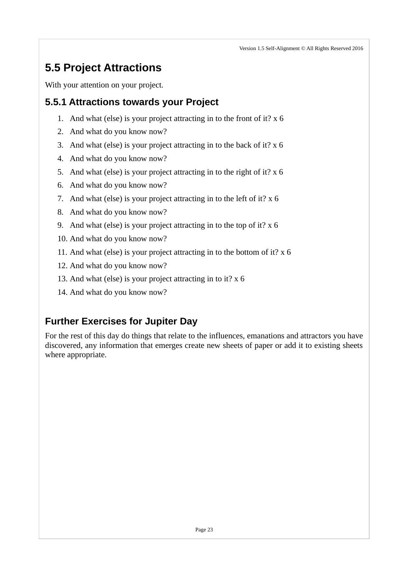# <span id="page-23-2"></span>**5.5 Project Attractions**

With your attention on your project.

### <span id="page-23-1"></span>**5.5.1 Attractions towards your Project**

- 1. And what (else) is your project attracting in to the front of it? x 6
- 2. And what do you know now?
- 3. And what (else) is your project attracting in to the back of it? x 6
- 4. And what do you know now?
- 5. And what (else) is your project attracting in to the right of it? x 6
- 6. And what do you know now?
- 7. And what (else) is your project attracting in to the left of it? x 6
- 8. And what do you know now?
- 9. And what (else) is your project attracting in to the top of it? x 6
- 10. And what do you know now?
- 11. And what (else) is your project attracting in to the bottom of it? x 6
- 12. And what do you know now?
- 13. And what (else) is your project attracting in to it? x 6
- 14. And what do you know now?

### <span id="page-23-0"></span>**Further Exercises for Jupiter Day**

For the rest of this day do things that relate to the influences, emanations and attractors you have discovered, any information that emerges create new sheets of paper or add it to existing sheets where appropriate.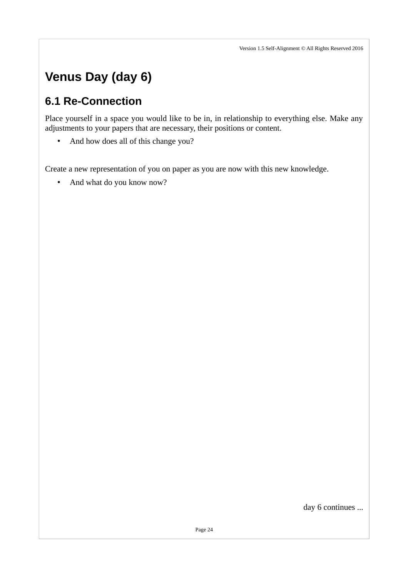# <span id="page-24-1"></span>**Venus Day (day 6)**

### <span id="page-24-0"></span>**6.1 Re-Connection**

Place yourself in a space you would like to be in, in relationship to everything else. Make any adjustments to your papers that are necessary, their positions or content.

• And how does all of this change you?

Create a new representation of you on paper as you are now with this new knowledge.

• And what do you know now?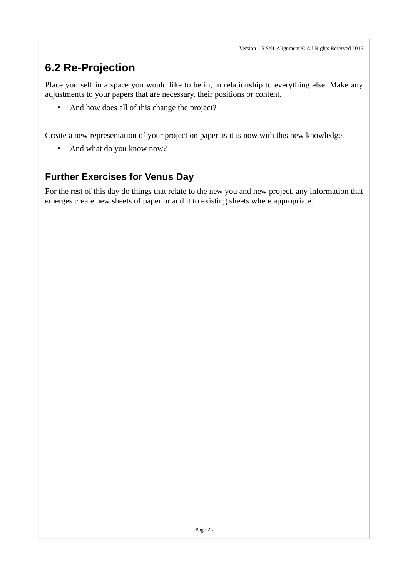# <span id="page-25-0"></span>**6.2 Re-Projection**

Place yourself in a space you would like to be in, in relationship to everything else. Make any adjustments to your papers that are necessary, their positions or content.

• And how does all of this change the project?

Create a new representation of your project on paper as it is now with this new knowledge.

• And what do you know now?

### <span id="page-25-1"></span>**Further Exercises for Venus Day**

For the rest of this day do things that relate to the new you and new project, any information that emerges create new sheets of paper or add it to existing sheets where appropriate.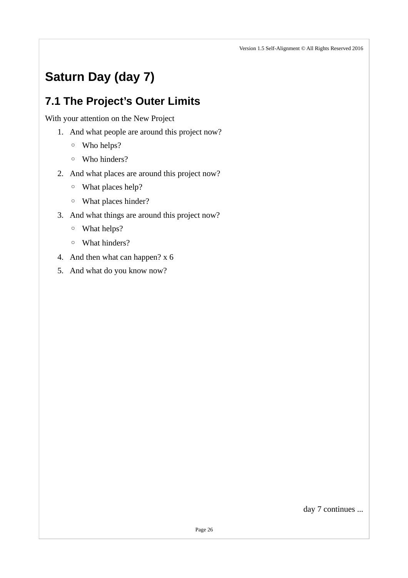# <span id="page-26-1"></span>**Saturn Day (day 7)**

## <span id="page-26-0"></span>**7.1 The Project's Outer Limits**

With your attention on the New Project

- 1. And what people are around this project now?
	- Who helps?
	- Who hinders?
- 2. And what places are around this project now?
	- What places help?
	- What places hinder?
- 3. And what things are around this project now?
	- What helps?
	- What hinders?
- 4. And then what can happen? x 6
- 5. And what do you know now?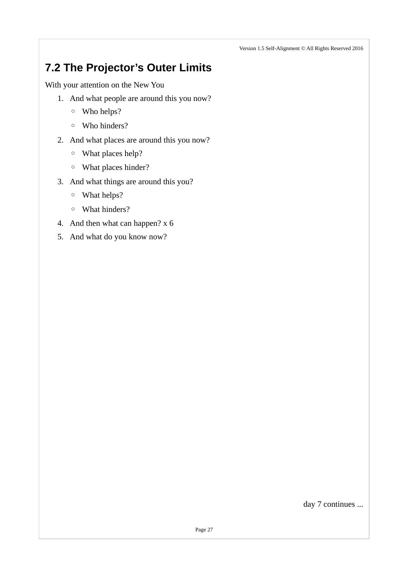## <span id="page-27-0"></span>**7.2 The Projector's Outer Limits**

With your attention on the New You

- 1. And what people are around this you now?
	- Who helps?
	- Who hinders?
- 2. And what places are around this you now?
	- What places help?
	- What places hinder?
- 3. And what things are around this you?
	- What helps?
	- What hinders?
- 4. And then what can happen? x 6
- 5. And what do you know now?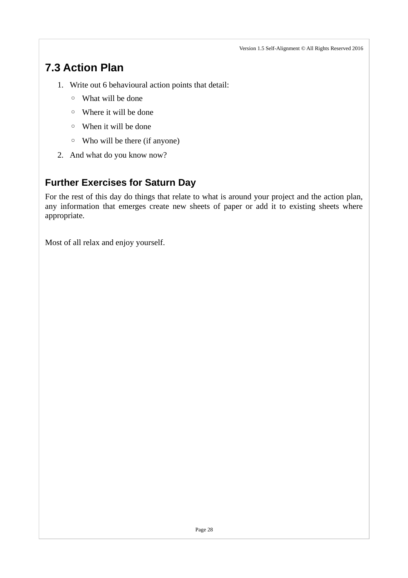## <span id="page-28-1"></span>**7.3 Action Plan**

- 1. Write out 6 behavioural action points that detail:
	- What will be done
	- Where it will be done
	- When it will be done
	- Who will be there (if anyone)
- 2. And what do you know now?

### <span id="page-28-0"></span>**Further Exercises for Saturn Day**

For the rest of this day do things that relate to what is around your project and the action plan, any information that emerges create new sheets of paper or add it to existing sheets where appropriate.

Most of all relax and enjoy yourself.